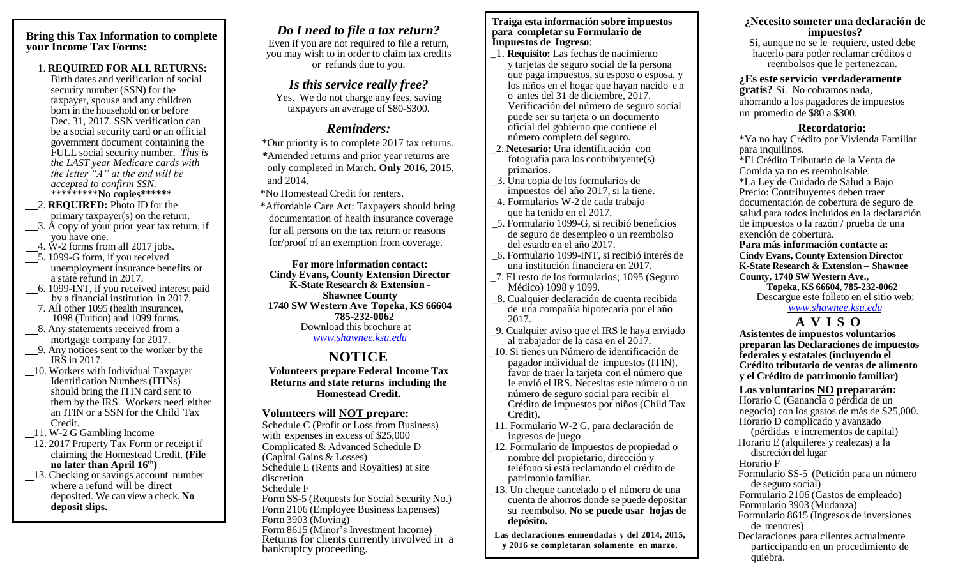#### **Bring this Tax Information to complete your Income Tax Forms:**

#### 1. **REQUIRED FOR ALL RETURNS:**

Birth dates and verification of social security number (SSN) for the taxpayer, spouse and any children born in the household on or before Dec. 31, 2017. SSN verification can be a social security card or an official government document containing the FULL social security number. *This is the LAST year Medicare cards with the letter "A" at the end will be accepted to confirm SSN.* \*\*\*\*\*\*\*\*\***No copies\*\*\*\*\*\***

- 2. **REQUIRED:** Photo ID for the primary taxpayer(s) on the return.
- 3. A copy of your prior year tax return, if you have one.
- 4. W-2 forms from all 2017 jobs.
- 5. 1099-G form, if you received unemployment insurance benefits or a state refund in 2017.
- 6. 1099-INT, if you received interest paid by a financial institution in 2017.
- 7. All other 1095 (health insurance), 1098 (Tuition) and 1099 forms.
- 8. Any statements received from a mortgage company for 2017.
- 9. Any notices sent to the worker by the IRS in 2017.
- 10. Workers with Individual Taxpayer Identification Numbers (ITINs) should bring the ITIN card sent to them by the IRS. Workers need either an ITIN or a SSN for the Child Tax Credit.
- 11. W-2 G Gambling Income
- $\frac{1}{2}$ 12. 2017 Property Tax Form or receipt if claiming the Homestead Credit. **(File no later than April 16th)**
- 13. Checking or savings account number where a refund will be direct deposited. We can view a check. **No deposit slips.**

# *Do I need to file a tax return?*

Even if you are not required to file a return, you may wish to in order to claim tax credits or refunds due to you.

### *Is this service really free?*

Yes. We do not charge any fees, saving taxpayers an average of \$80-\$300.

# *Reminders:*

\*Our priority is to complete 2017 tax returns. *\**Amended returns and prior year returns are only completed in March. **Only** 2016, 2015, and 2014.

- \*No Homestead Credit for renters.
- \*Affordable Care Act: Taxpayers should bring documentation of health insurance coverage for all persons on the tax return or reasons for/proof of an exemption from coverage.

**For more information contact: Cindy Evans, County Extension Director K-State Research & Extension - Shawnee County 1740 SW Western Ave Topeka, KS 66604 785-232-0062** Download this brochure at *[www.shawnee.ksu.edu](http://www.shawnee.ksu.edu/)*

# **NOTICE**

**Volunteers prepare Federal Income Tax Returns and state returns including the Homestead Credit.**

### **Volunteers will NOT prepare:**

Schedule C (Profit or Loss from Business) with expenses in excess of \$25,000 Complicated & Advanced Schedule D (Capital Gains & Losses) Schedule E (Rents and Royalties) at site discretion Schedule F Form SS-5 (Requests for Social Security No.) Form 2106 (Employee Business Expenses) Form 3903 (Moving) Form 8615 (Minor's Investment Income) Returns for clients currently involved in a bankruptcy proceeding.

#### **Traiga esta información sobre impuestos para completar su Formulario de Impuestos de Ingreso**:

- \_1. **Requisito:** Las fechas de nacimiento y tarjetas de seguro social de la persona que paga impuestos, su esposo o esposa, y los niños en el hogar que hayan nacido en o antes del 31 de diciembre, 2017. Verificación del número de seguro social puede ser su tarjeta o un documento oficial del gobierno que contiene el número completo del seguro.
- \_2. **Necesario:** Una identificación con fotografía para los contribuyente(s) primarios.
- \_3. Una copia de los formularios de impuestos del año 2017, si la tiene.
- \_4. Formularios W-2 de cada trabajo que ha tenido en el 2017.
- \_5. Formulario 1099-G, si recibió beneficios de seguro de desempleo o un reembolso del estado en el año 2017.
- \_6. Formulario 1099-INT, si recibió interés de una institución financiera en 2017.
- \_7. El resto de los formularios; 1095 (Seguro Médico) 1098 y 1099.
- \_8. Cualquier declaración de cuenta recibida de una compañía hipotecaria por el año 2017.
- \_9. Cualquier aviso que el IRS le haya enviado al trabajador de la casa en el 2017.
- \_10. Si tienes un Número de identificación de pagador individual de impuestos (ITIN), favor de traer la tarjeta con el número que le envió el IRS. Necesitas este número o un número de seguro social para recibir el Crédito de impuestos por niños (Child Tax Credit).
- \_11. Formulario W-2 G, para declaración de ingresos de juego
- \_12. Formulario de Impuestos de propiedad o nombre del propietario, dirección y teléfono si está reclamando el crédito de patrimonio familiar.
- \_13. Un cheque cancelado o el número de una cuenta de ahorros donde se puede depositar su reembolso. **No se puede usar hojas de depósito.**
- **Las declaraciones enmendadas y del 2014, 2015, y 2016 se completaran solamente en marzo.**

#### **¿Necesito someter una declaración de impuestos?** Sí, aunque no se le requiere, usted debe

hacerlo para poder reclamar créditos o reembolsos que le pertenezcan.

#### **¿Es este servicio verdaderamente**

**gratis?** Sí. No cobramos nada, ahorrando a los pagadores de impuestos un promedio de \$80 a \$300.

#### **Recordatorio:**

\*Ya no hay Crédito por Vivienda Familiar para inquilinos. \*El Crédito Tributario de la Venta de Comida ya no es reembolsable. \*La Ley de Cuidado de Salud a Bajo Precio: Contribuyentes deben traer documentación de cobertura de seguro de salud para todos incluidos en la declaración de impuestos o la razón / prueba de una exención de cobertura. **Para más información contacte a:** 

**Cindy Evans, County Extension Director K-State Research & Extension – Shawnee County, 1740 SW Western Ave.,**

**Topeka, KS 66604, 785-232-0062** Descargue este folleto en el sitio web:

### *[www.shawnee.ksu.edu](http://www.shawnee.ksu.edu/)*

### **A V I S O**

**Asistentes de impuestos voluntarios preparan las Declaraciones de impuestos federales y estatales (incluyendo el Crédito tributario de ventas de alimento y el Crédito de patrimonio familiar)**

### **Los voluntarios NO prepararán:**

Horario C (Ganancia o pérdida de un negocio) con los gastos de más de \$25,000. Horario D complicado y avanzado (pérdidas e incrementos de capital) Horario E (alquileres y realezas) a la discreción del lugar Horario F Formulario SS-5 (Petición para un número de seguro social) Formulario 2106 (Gastos de empleado) Formulario 3903 (Mudanza) Formulario 8615 (Ingresos de inversiones de menores) Declaraciones para clientes actualmente particcipando en un procedimiento de quiebra.